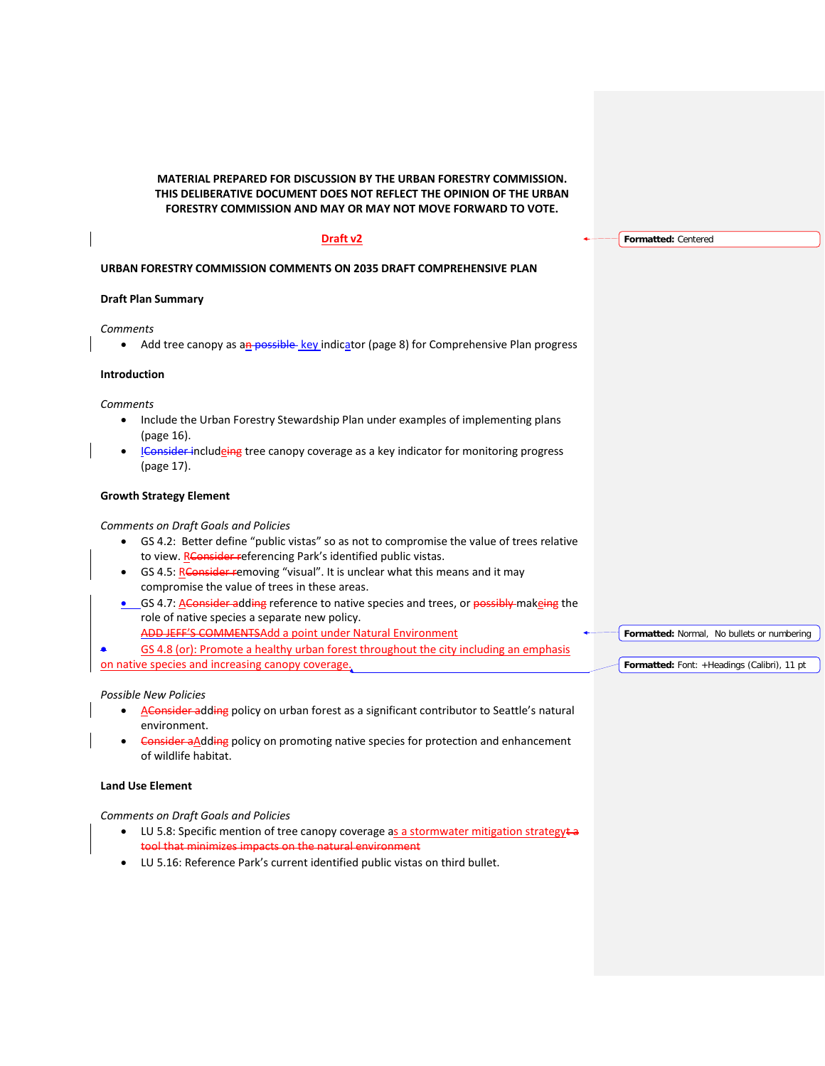**MATERIAL PREPARED FOR DISCUSSION BY THE URBAN FORESTRY COMMISSION. THIS DELIBERATIVE DOCUMENT DOES NOT REFLECT THE OPINION OF THE URBAN FORESTRY COMMISSION AND MAY OR MAY NOT MOVE FORWARD TO VOTE.**

# **Draft v2**

**URBAN FORESTRY COMMISSION COMMENTS ON 2035 DRAFT COMPREHENSIVE PLAN**

# **Draft Plan Summary**

*Comments*

• Add tree canopy as an possible key indicator (page 8) for Comprehensive Plan progress

## **Introduction**

*Comments*

- Include the Urban Forestry Stewardship Plan under examples of implementing plans (page 16).
- **I**Consider includeing tree canopy coverage as a key indicator for monitoring progress (page 17).

# **Growth Strategy Element**

# *Comments on Draft Goals and Policies*

- GS 4.2: Better define "public vistas" so as not to compromise the value of trees relative to view. RConsider referencing Park's identified public vistas.
- GS 4.5: RConsider removing "visual". It is unclear what this means and it may compromise the value of trees in these areas.
- GS 4.7: A Consider adding reference to native species and trees, or possibly makeing the role of native species a separate new policy.
	- ADD JEFF'S COMMENTSAdd a point under Natural Environment
- GS 4.8 (or): Promote a healthy urban forest throughout the city including an emphasis

on native species and increasing canopy coverage.

## *Possible New Policies*

- AConsider adding policy on urban forest as a significant contributor to Seattle's natural environment.
- Consider aAdding policy on promoting native species for protection and enhancement of wildlife habitat.

# **Land Use Element**

## *Comments on Draft Goals and Policies*

- LU 5.8: Specific mention of tree canopy coverage as a stormwater mitigation strategy $\ddot{\tau}$ tool that minimizes impacts on the natural environment
- LU 5.16: Reference Park's current identified public vistas on third bullet.

# **Formatted:** Centered

**Formatted:** Normal, No bullets or numbering

**Formatted:** Font: +Headings (Calibri), 11 pt